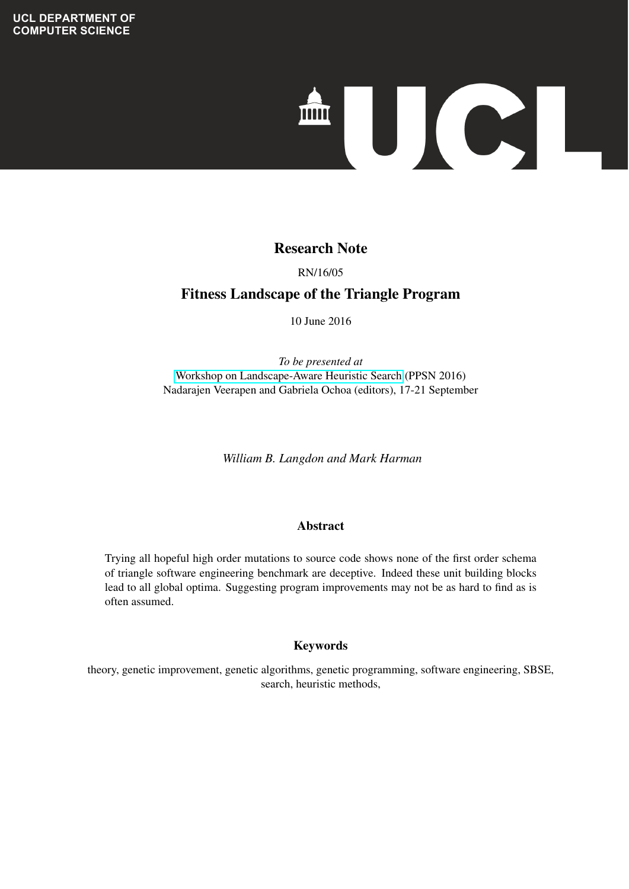

#### **Exchange Exchange Fault Localisation Competitive Specific Specific Specific Specific Specific Specific Specific Specific Specific Specific Specific Specific Specific Specific Specific Specific Specific Specific Specific S** Research Note

## **Techniques** RN/16/05

# 08/05/2012 Fitness Landscape of the Triangle Program

10 June 2016

*To be presented at* [Workshop on Landscape-Aware Heuristic Search](http://www.cs.stir.ac.uk/events/ppsn2016-landscape/) (PPSN 2016) Nadarajen Veerapen and Gabriela Ochoa (editors), 17-21 September

*William B. Langdon and Mark Harman*

#### $\overline{\mathbf{A}}$ bstract Abstract

Trying all hopeful high order mutations to source code shows none of the first order schema of triangle software engineering benchmark are deceptive. Indeed these unit building blocks Programming approach for evolving approach interesting approximate the example for example for example for example to example to example to example to example to example the example of the example of the example of the exa lead to all global optima. Suggesting program improvements may not be as hard to find as is<br>often assumed criteri assumed. often assumed.

#### $\mathbf{F}_{\mathbf{z}}$  as  $\mathbf{F}_{\mathbf{z}}$  $\mathbf{N}$ Ey wor us Keywords

theory, genetic improvement, genetic algorithms, genetic programming, software engineering, SBSE, search, heuristic methods,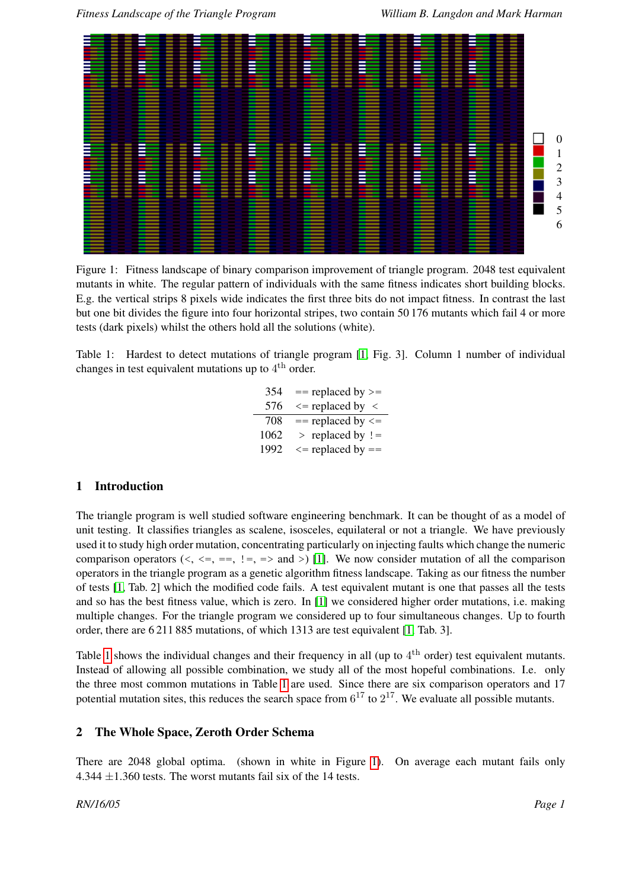

<span id="page-1-1"></span>Figure 1: Fitness landscape of binary comparison improvement of triangle program. 2048 test equivalent mutants in white. The regular pattern of individuals with the same fitness indicates short building blocks. E.g. the vertical strips 8 pixels wide indicates the first three bits do not impact fitness. In contrast the last but one bit divides the figure into four horizontal stripes, two contain 50 176 mutants which fail 4 or more tests (dark pixels) whilst the others hold all the solutions (white).

<span id="page-1-0"></span>Table 1: Hardest to detect mutations of triangle program [\[1,](#page-2-0) Fig. 3]. Column 1 number of individual changes in test equivalent mutations up to  $4^{\text{th}}$  order.

> = replaced by >=  $\le$  replaced by  $\le$  = replaced by  $\le$  > replaced by ! =  $\le$  = replaced by ==

## 1 Introduction

The triangle program is well studied software engineering benchmark. It can be thought of as a model of unit testing. It classifies triangles as scalene, isosceles, equilateral or not a triangle. We have previously used it to study high order mutation, concentrating particularly on injecting faults which change the numeric comparison operators  $(\langle, \langle = \rangle = \rangle = \rangle = \rangle$  and  $(\rangle)$  [\[1\]](#page-2-0). We now consider mutation of all the comparison operators in the triangle program as a genetic algorithm fitness landscape. Taking as our fitness the number of tests [\[1,](#page-2-0) Tab. 2] which the modified code fails. A test equivalent mutant is one that passes all the tests and so has the best fitness value, which is zero. In [\[1\]](#page-2-0) we considered higher order mutations, i.e. making multiple changes. For the triangle program we considered up to four simultaneous changes. Up to fourth order, there are 6 211 885 mutations, of which 1313 are test equivalent [\[1,](#page-2-0) Tab. 3].

Table [1](#page-1-0) shows the individual changes and their frequency in all (up to  $4<sup>th</sup>$  order) test equivalent mutants. Instead of allowing all possible combination, we study all of the most hopeful combinations. I.e. only the three most common mutations in Table [1](#page-1-0) are used. Since there are six comparison operators and 17 potential mutation sites, this reduces the search space from  $6^{17}$  to  $2^{17}$ . We evaluate all possible mutants.

#### 2 The Whole Space, Zeroth Order Schema

There are 2048 global optima. (shown in white in Figure [1\)](#page-1-1). On average each mutant fails only 4.344  $\pm$ 1.360 tests. The worst mutants fail six of the 14 tests.